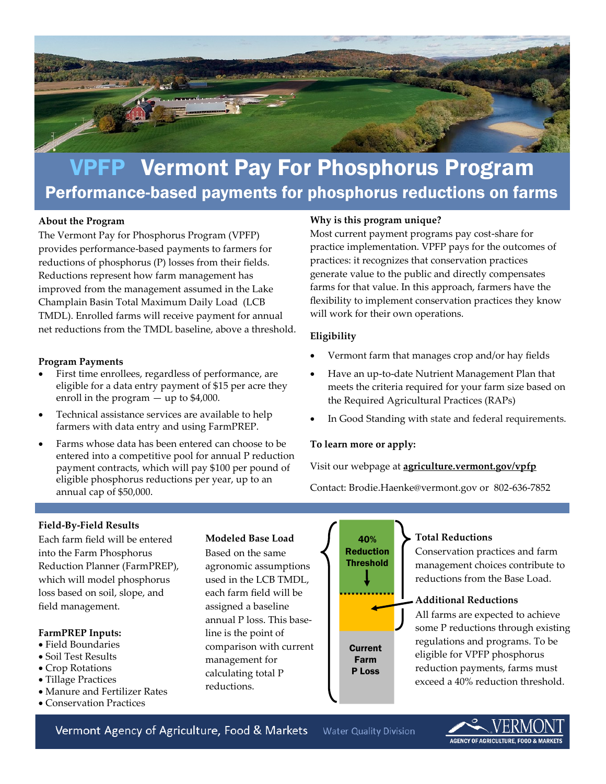

# VPFP Vermont Pay For Phosphorus Program Performance-based payments for phosphorus reductions on farms

## **About the Program**

The Vermont Pay for Phosphorus Program (VPFP) provides performance-based payments to farmers for reductions of phosphorus (P) losses from their fields. Reductions represent how farm management has improved from the management assumed in the Lake Champlain Basin Total Maximum Daily Load (LCB TMDL). Enrolled farms will receive payment for annual net reductions from the TMDL baseline, above a threshold.

#### **Program Payments**

- First time enrollees, regardless of performance, are eligible for a data entry payment of \$15 per acre they enroll in the program  $-$  up to \$4,000.
- Technical assistance services are available to help farmers with data entry and using FarmPREP.
- Farms whose data has been entered can choose to be entered into a competitive pool for annual P reduction payment contracts, which will pay \$100 per pound of eligible phosphorus reductions per year, up to an annual cap of \$50,000.

## **Why is this program unique?**

Most current payment programs pay cost-share for practice implementation. VPFP pays for the outcomes of practices: it recognizes that conservation practices generate value to the public and directly compensates farms for that value. In this approach, farmers have the flexibility to implement conservation practices they know will work for their own operations.

## **Eligibility**

- Vermont farm that manages crop and/or hay fields
- Have an up-to-date Nutrient Management Plan that meets the criteria required for your farm size based on the Required Agricultural Practices (RAPs)
- In Good Standing with state and federal requirements.

## **To learn more or apply:**

Visit our webpage at **agriculture.vermont.gov/vpfp**

Contact: Brodie.Haenke@vermont.gov or 802-636-7852

## **Field-By-Field Results**

Each farm field will be entered into the Farm Phosphorus Reduction Planner (FarmPREP), which will model phosphorus loss based on soil, slope, and field management.

## **FarmPREP Inputs:**

- Field Boundaries
- Soil Test Results
- Crop Rotations
- Tillage Practices
- Manure and Fertilizer Rates
- Conservation Practices

## **Modeled Base Load**

Based on the same agronomic assumptions used in the LCB TMDL, each farm field will be assigned a baseline annual P loss. This baseline is the point of comparison with current management for calculating total P reductions.



P Loss

## **Total Reductions**

Conservation practices and farm management choices contribute to reductions from the Base Load.

## **Additional Reductions**

All farms are expected to achieve some P reductions through existing regulations and programs. To be eligible for VPFP phosphorus reduction payments, farms must exceed a 40% reduction threshold.

Vermont Agency of Agriculture, Food & Markets **Water Quality Division**